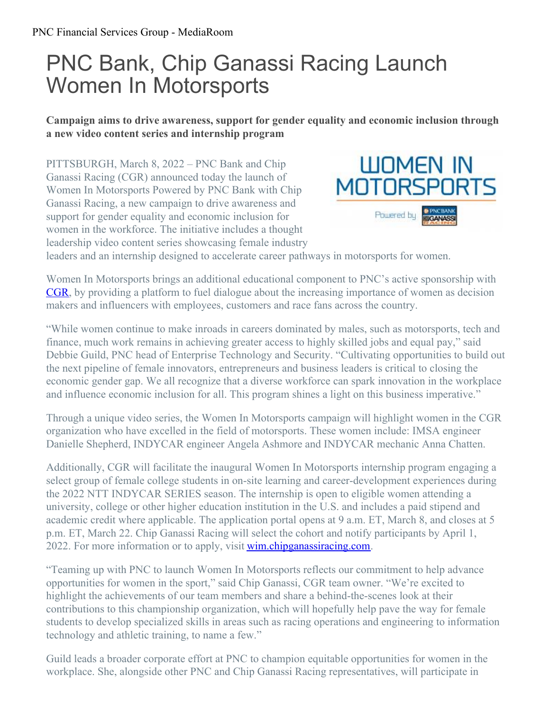## PNC Bank, Chip Ganassi Racing Launch Women In Motorsports

## **Campaign aims to drive awareness, support for gender equality and economic inclusion through a new video content series and internship program**

PITTSBURGH, March 8, 2022 – PNC Bank and Chip Ganassi Racing (CGR) announced today the launch of Women In Motorsports Powered by PNC Bank with Chip Ganassi Racing, a new campaign to drive awareness and support for gender equality and economic inclusion for women in the workforce. The initiative includes a thought leadership video content series showcasing female industry



leaders and an internship designed to accelerate career pathways in motorsports for women.

Women In Motorsports brings an additional educational component to PNC's active sponsorship with [CGR](https://www.pnc.com/en/about-pnc/company-profile/corporate-sponsorships/chip-ganassi.html?lnksrc=topnav), by providing a platform to fuel dialogue about the increasing importance of women as decision makers and influencers with employees, customers and race fans across the country.

"While women continue to make inroads in careers dominated by males, such as motorsports, tech and finance, much work remains in achieving greater access to highly skilled jobs and equal pay," said Debbie Guild, PNC head of Enterprise Technology and Security. "Cultivating opportunities to build out the next pipeline of female innovators, entrepreneurs and business leaders is critical to closing the economic gender gap. We all recognize that a diverse workforce can spark innovation in the workplace and influence economic inclusion for all. This program shines a light on this business imperative."

Through a unique video series, the Women In Motorsports campaign will highlight women in the CGR organization who have excelled in the field of motorsports. These women include: IMSA engineer Danielle Shepherd, INDYCAR engineer Angela Ashmore and INDYCAR mechanic Anna Chatten.

Additionally, CGR will facilitate the inaugural Women In Motorsports internship program engaging a select group of female college students in on-site learning and career-development experiences during the 2022 NTT INDYCAR SERIES season. The internship is open to eligible women attending a university, college or other higher education institution in the U.S. and includes a paid stipend and academic credit where applicable. The application portal opens at 9 a.m. ET, March 8, and closes at 5 p.m. ET, March 22. Chip Ganassi Racing will select the cohort and notify participants by April 1, 2022. For more information or to apply, visit [wim.chipganassiracing.com](http://wim.chipganassiracing.com/).

"Teaming up with PNC to launch Women In Motorsports reflects our commitment to help advance opportunities for women in the sport," said Chip Ganassi, CGR team owner. "We're excited to highlight the achievements of our team members and share a behind-the-scenes look at their contributions to this championship organization, which will hopefully help pave the way for female students to develop specialized skills in areas such as racing operations and engineering to information technology and athletic training, to name a few."

Guild leads a broader corporate effort at PNC to champion equitable opportunities for women in the workplace. She, alongside other PNC and Chip Ganassi Racing representatives, will participate in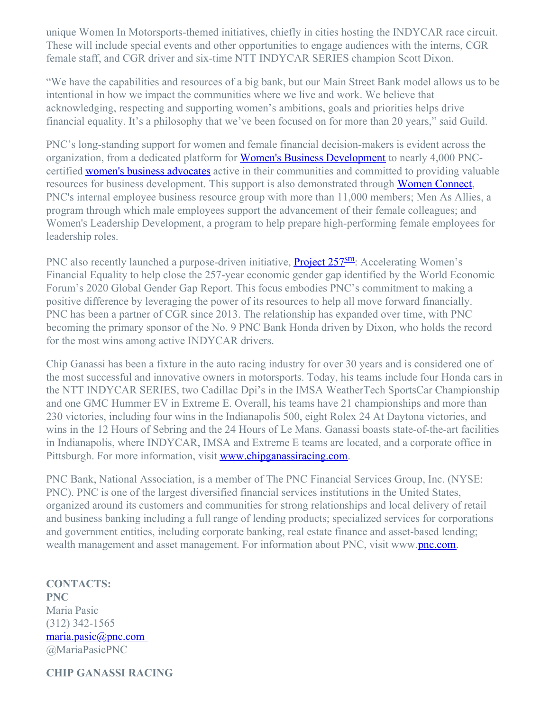unique Women In Motorsports-themed initiatives, chiefly in cities hosting the INDYCAR race circuit. These will include special events and other opportunities to engage audiences with the interns, CGR female staff, and CGR driver and six-time NTT INDYCAR SERIES champion Scott Dixon.

"We have the capabilities and resources of a big bank, but our Main Street Bank model allows us to be intentional in how we impact the communities where we live and work. We believe that acknowledging, respecting and supporting women's ambitions, goals and priorities helps drive financial equality. It's a philosophy that we've been focused on for more than 20 years," said Guild.

PNC's long-standing support for women and female financial decision-makers is evident across the organization, from a dedicated platform for **Women's Business [Development](https://www.pnc.com/en/lp/resources-for-women-financial-decision-makers.html?WT.mc_id=SB_Offline_women)** to nearly 4,000 PNCcertified women's business [advocates](https://www.pnc.com/en/small-business/topics/women-in-business/women-business-advocates.html) active in their communities and committed to providing valuable resources for business development. This support is also demonstrated through Women [Connect](https://www.pnc.com/en/about-pnc/corporate-responsibility/diversity-and-inclusion/employee-business-resource-groups.html), PNC's internal employee business resource group with more than 11,000 members; Men As Allies, a program through which male employees support the advancement of their female colleagues; and Women's Leadership Development, a program to help prepare high-performing female employees for leadership roles.

PNC also recently launched a purpose-driven initiative, **[Project](https://www.pnc.com/en/small-business/topics/women-in-business/project-257-womens-financial-equality.html) 257<sup>sm</sup>**: Accelerating Women's Financial Equality to help close the 257-year economic gender gap identified by the World Economic Forum's 2020 Global Gender Gap Report. This focus embodies PNC's commitment to making a positive difference by leveraging the power of its resources to help all move forward financially. PNC has been a partner of CGR since 2013. The relationship has expanded over time, with PNC becoming the primary sponsor of the No. 9 PNC Bank Honda driven by Dixon, who holds the record for the most wins among active INDYCAR drivers.

Chip Ganassi has been a fixture in the auto racing industry for over 30 years and is considered one of the most successful and innovative owners in motorsports. Today, his teams include four Honda cars in the NTT INDYCAR SERIES, two Cadillac Dpi's in the IMSA WeatherTech SportsCar Championship and one GMC Hummer EV in Extreme E. Overall, his teams have 21 championships and more than 230 victories, including four wins in the Indianapolis 500, eight Rolex 24 At Daytona victories, and wins in the 12 Hours of Sebring and the 24 Hours of Le Mans. Ganassi boasts state-of-the-art facilities in Indianapolis, where INDYCAR, IMSA and Extreme E teams are located, and a corporate office in Pittsburgh. For more information, visit [www.chipganassiracing.com](http://www.chipganassiracing.com).

PNC Bank, National Association, is a member of The PNC Financial Services Group, Inc. (NYSE: PNC). PNC is one of the largest diversified financial services institutions in the United States, organized around its customers and communities for strong relationships and local delivery of retail and business banking including a full range of lending products; specialized services for corporations and government entities, including corporate banking, real estate finance and asset-based lending; wealth management and asset management. For information about PNC, visit www[.pnc.com](http://pnc.com).

**CONTACTS: PNC** Maria Pasic (312) 342-1565 [maria.pasic@pnc.com](mailto:maria.pasic@pnc.com ) @MariaPasicPNC

**CHIP GANASSI RACING**